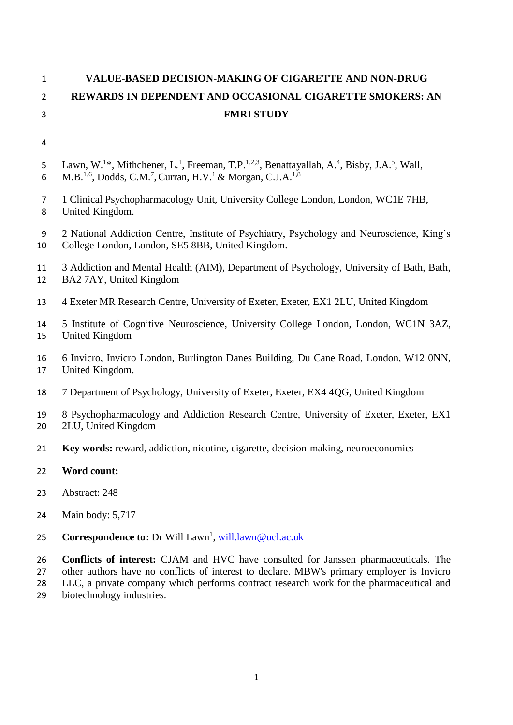# **VALUE-BASED DECISION-MAKING OF CIGARETTE AND NON-DRUG REWARDS IN DEPENDENT AND OCCASIONAL CIGARETTE SMOKERS: AN FMRI STUDY**

- 5 Lawn, W.<sup>1\*</sup>, Mithchener, L.<sup>1</sup>, Freeman, T.P.<sup>1,2,3</sup>, Benattayallah, A.<sup>4</sup>, Bisby, J.A.<sup>5</sup>, Wall, 6 M.B.<sup>1,6</sup>, Dodds, C.M.<sup>7</sup>, Curran, H.V.<sup>1</sup> & Morgan, C.J.A.<sup>1,8</sup>
- 1 Clinical Psychopharmacology Unit, University College London, London, WC1E 7HB, United Kingdom.
- 2 National Addiction Centre, Institute of Psychiatry, Psychology and Neuroscience, King's College London, London, SE5 8BB, United Kingdom.

 3 Addiction and Mental Health (AIM), Department of Psychology, University of Bath, Bath, BA2 7AY, United Kingdom

- 4 Exeter MR Research Centre, University of Exeter, Exeter, EX1 2LU, United Kingdom
- 5 Institute of Cognitive Neuroscience, University College London, London, WC1N 3AZ, United Kingdom
- 6 Invicro, Invicro London, Burlington Danes Building, Du Cane Road, London, W12 0NN, United Kingdom.
- 7 Department of Psychology, University of Exeter, Exeter, EX4 4QG, United Kingdom
- 8 Psychopharmacology and Addiction Research Centre, University of Exeter, Exeter, EX1 2LU, United Kingdom
- **Key words:** reward, addiction, nicotine, cigarette, decision-making, neuroeconomics
- **Word count:**
- Abstract: 248
- Main body: 5,717
- 25 **Correspondence to:** Dr Will Lawn<sup>1</sup>, [will.lawn@ucl.ac.uk](mailto:will.lawn@ucl.ac.uk)

 **Conflicts of interest:** CJAM and HVC have consulted for Janssen pharmaceuticals. The other authors have no conflicts of interest to declare. MBW's primary employer is Invicro LLC, a private company which performs contract research work for the pharmaceutical and

biotechnology industries.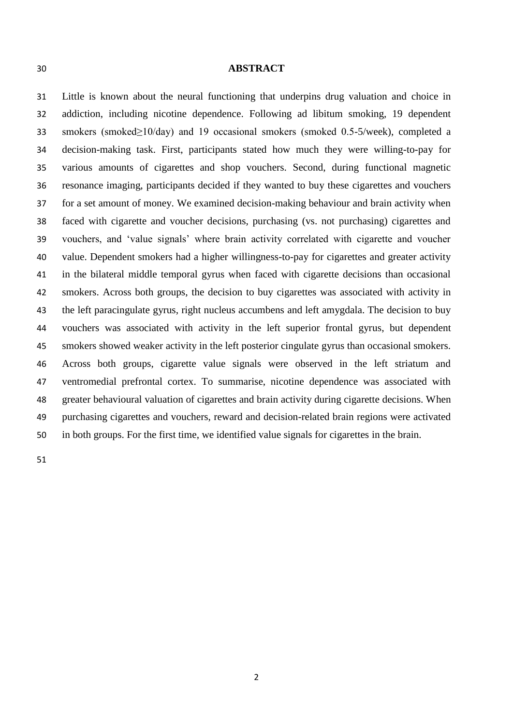#### **ABSTRACT**

 Little is known about the neural functioning that underpins drug valuation and choice in addiction, including nicotine dependence. Following ad libitum smoking, 19 dependent smokers (smoked≥10/day) and 19 occasional smokers (smoked 0.5-5/week), completed a decision-making task. First, participants stated how much they were willing-to-pay for various amounts of cigarettes and shop vouchers. Second, during functional magnetic resonance imaging, participants decided if they wanted to buy these cigarettes and vouchers for a set amount of money. We examined decision-making behaviour and brain activity when faced with cigarette and voucher decisions, purchasing (vs. not purchasing) cigarettes and vouchers, and 'value signals' where brain activity correlated with cigarette and voucher value. Dependent smokers had a higher willingness-to-pay for cigarettes and greater activity in the bilateral middle temporal gyrus when faced with cigarette decisions than occasional smokers. Across both groups, the decision to buy cigarettes was associated with activity in the left paracingulate gyrus, right nucleus accumbens and left amygdala. The decision to buy vouchers was associated with activity in the left superior frontal gyrus, but dependent smokers showed weaker activity in the left posterior cingulate gyrus than occasional smokers. Across both groups, cigarette value signals were observed in the left striatum and ventromedial prefrontal cortex. To summarise, nicotine dependence was associated with greater behavioural valuation of cigarettes and brain activity during cigarette decisions. When purchasing cigarettes and vouchers, reward and decision-related brain regions were activated in both groups. For the first time, we identified value signals for cigarettes in the brain.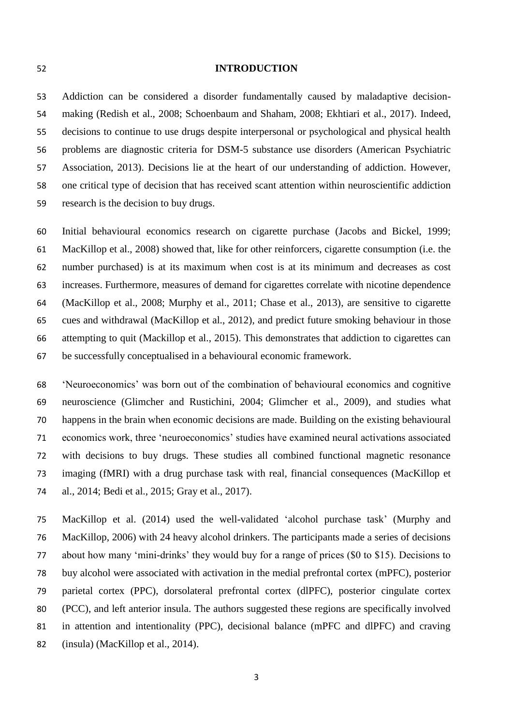#### **INTRODUCTION**

 Addiction can be considered a disorder fundamentally caused by maladaptive decision- making (Redish et al., 2008; Schoenbaum and Shaham, 2008; Ekhtiari et al., 2017). Indeed, decisions to continue to use drugs despite interpersonal or psychological and physical health problems are diagnostic criteria for DSM-5 substance use disorders (American Psychiatric Association, 2013). Decisions lie at the heart of our understanding of addiction. However, one critical type of decision that has received scant attention within neuroscientific addiction research is the decision to buy drugs.

 Initial behavioural economics research on cigarette purchase (Jacobs and Bickel, 1999; MacKillop et al., 2008) showed that, like for other reinforcers, cigarette consumption (i.e. the number purchased) is at its maximum when cost is at its minimum and decreases as cost increases. Furthermore, measures of demand for cigarettes correlate with nicotine dependence (MacKillop et al., 2008; Murphy et al., 2011; Chase et al., 2013), are sensitive to cigarette cues and withdrawal (MacKillop et al., 2012), and predict future smoking behaviour in those attempting to quit (Mackillop et al., 2015). This demonstrates that addiction to cigarettes can be successfully conceptualised in a behavioural economic framework.

 'Neuroeconomics' was born out of the combination of behavioural economics and cognitive neuroscience (Glimcher and Rustichini, 2004; Glimcher et al., 2009), and studies what happens in the brain when economic decisions are made. Building on the existing behavioural economics work, three 'neuroeconomics' studies have examined neural activations associated with decisions to buy drugs. These studies all combined functional magnetic resonance imaging (fMRI) with a drug purchase task with real, financial consequences (MacKillop et al., 2014; Bedi et al., 2015; Gray et al., 2017).

 MacKillop et al. (2014) used the well-validated 'alcohol purchase task' (Murphy and MacKillop, 2006) with 24 heavy alcohol drinkers. The participants made a series of decisions about how many 'mini-drinks' they would buy for a range of prices (\$0 to \$15). Decisions to buy alcohol were associated with activation in the medial prefrontal cortex (mPFC), posterior parietal cortex (PPC), dorsolateral prefrontal cortex (dlPFC), posterior cingulate cortex (PCC), and left anterior insula. The authors suggested these regions are specifically involved in attention and intentionality (PPC), decisional balance (mPFC and dlPFC) and craving (insula) (MacKillop et al., 2014).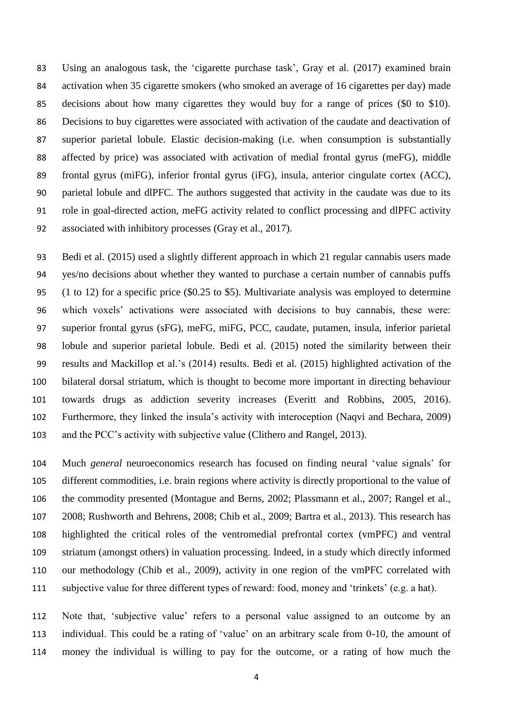Using an analogous task, the 'cigarette purchase task', Gray et al. (2017) examined brain activation when 35 cigarette smokers (who smoked an average of 16 cigarettes per day) made decisions about how many cigarettes they would buy for a range of prices (\$0 to \$10). Decisions to buy cigarettes were associated with activation of the caudate and deactivation of superior parietal lobule. Elastic decision-making (i.e. when consumption is substantially affected by price) was associated with activation of medial frontal gyrus (meFG), middle frontal gyrus (miFG), inferior frontal gyrus (iFG), insula, anterior cingulate cortex (ACC), parietal lobule and dlPFC. The authors suggested that activity in the caudate was due to its role in goal-directed action, meFG activity related to conflict processing and dlPFC activity associated with inhibitory processes (Gray et al., 2017).

 Bedi et al. (2015) used a slightly different approach in which 21 regular cannabis users made yes/no decisions about whether they wanted to purchase a certain number of cannabis puffs (1 to 12) for a specific price (\$0.25 to \$5). Multivariate analysis was employed to determine which voxels' activations were associated with decisions to buy cannabis, these were: superior frontal gyrus (sFG), meFG, miFG, PCC, caudate, putamen, insula, inferior parietal lobule and superior parietal lobule. Bedi et al. (2015) noted the similarity between their results and Mackillop et al.'s (2014) results. Bedi et al. (2015) highlighted activation of the bilateral dorsal striatum, which is thought to become more important in directing behaviour towards drugs as addiction severity increases (Everitt and Robbins, 2005, 2016). Furthermore, they linked the insula's activity with interoception (Naqvi and Bechara, 2009) and the PCC's activity with subjective value (Clithero and Rangel, 2013).

 Much *general* neuroeconomics research has focused on finding neural 'value signals' for different commodities, i.e. brain regions where activity is directly proportional to the value of the commodity presented (Montague and Berns, 2002; Plassmann et al., 2007; Rangel et al., 2008; Rushworth and Behrens, 2008; Chib et al., 2009; Bartra et al., 2013). This research has highlighted the critical roles of the ventromedial prefrontal cortex (vmPFC) and ventral striatum (amongst others) in valuation processing. Indeed, in a study which directly informed our methodology (Chib et al., 2009), activity in one region of the vmPFC correlated with subjective value for three different types of reward: food, money and 'trinkets' (e.g. a hat).

 Note that, 'subjective value' refers to a personal value assigned to an outcome by an individual. This could be a rating of 'value' on an arbitrary scale from 0-10, the amount of money the individual is willing to pay for the outcome, or a rating of how much the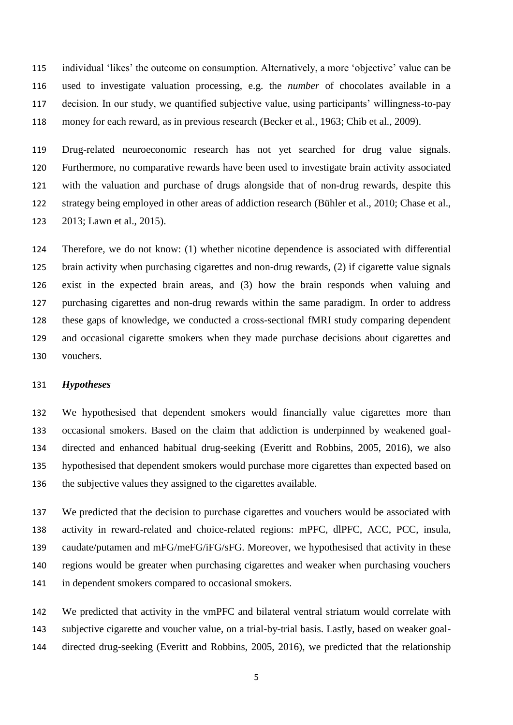individual 'likes' the outcome on consumption. Alternatively, a more 'objective' value can be used to investigate valuation processing, e.g. the *number* of chocolates available in a decision. In our study, we quantified subjective value, using participants' willingness-to-pay money for each reward, as in previous research (Becker et al., 1963; Chib et al., 2009).

 Drug-related neuroeconomic research has not yet searched for drug value signals. Furthermore, no comparative rewards have been used to investigate brain activity associated with the valuation and purchase of drugs alongside that of non-drug rewards, despite this strategy being employed in other areas of addiction research (Bühler et al., 2010; Chase et al., 2013; Lawn et al., 2015).

 Therefore, we do not know: (1) whether nicotine dependence is associated with differential brain activity when purchasing cigarettes and non-drug rewards, (2) if cigarette value signals exist in the expected brain areas, and (3) how the brain responds when valuing and purchasing cigarettes and non-drug rewards within the same paradigm. In order to address these gaps of knowledge, we conducted a cross-sectional fMRI study comparing dependent and occasional cigarette smokers when they made purchase decisions about cigarettes and vouchers.

## *Hypotheses*

 We hypothesised that dependent smokers would financially value cigarettes more than occasional smokers. Based on the claim that addiction is underpinned by weakened goal- directed and enhanced habitual drug-seeking (Everitt and Robbins, 2005, 2016), we also hypothesised that dependent smokers would purchase more cigarettes than expected based on the subjective values they assigned to the cigarettes available.

 We predicted that the decision to purchase cigarettes and vouchers would be associated with activity in reward-related and choice-related regions: mPFC, dlPFC, ACC, PCC, insula, caudate/putamen and mFG/meFG/iFG/sFG. Moreover, we hypothesised that activity in these regions would be greater when purchasing cigarettes and weaker when purchasing vouchers in dependent smokers compared to occasional smokers.

 We predicted that activity in the vmPFC and bilateral ventral striatum would correlate with subjective cigarette and voucher value, on a trial-by-trial basis. Lastly, based on weaker goal-directed drug-seeking (Everitt and Robbins, 2005, 2016), we predicted that the relationship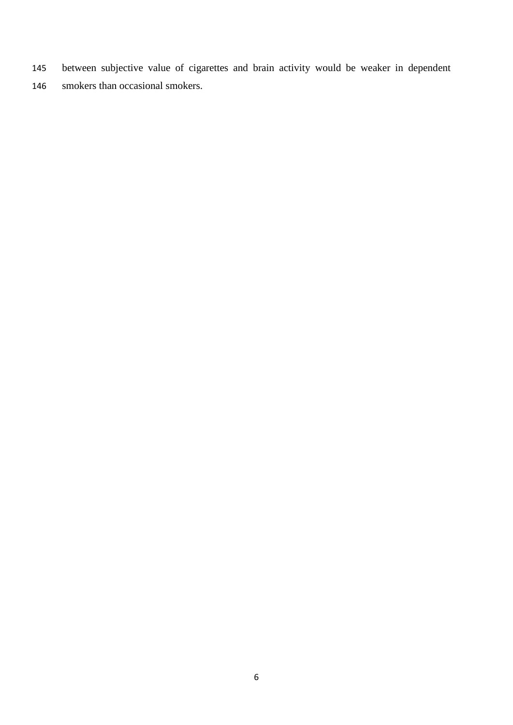- between subjective value of cigarettes and brain activity would be weaker in dependent
- smokers than occasional smokers.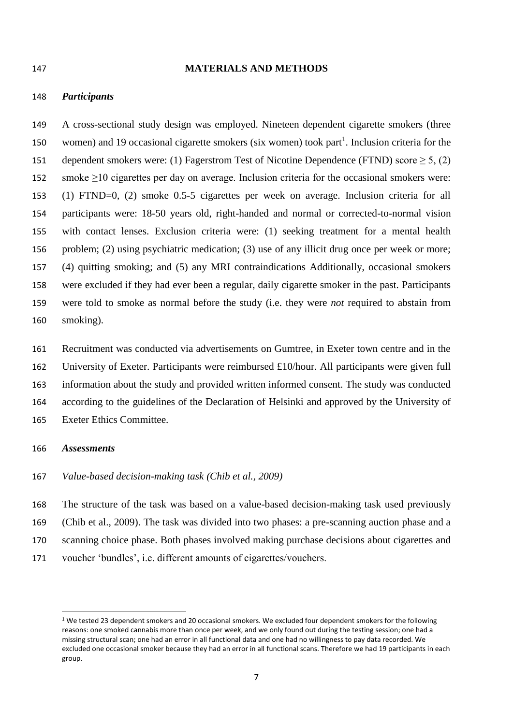#### **MATERIALS AND METHODS**

#### *Participants*

 A cross-sectional study design was employed. Nineteen dependent cigarette smokers (three 150 women) and 19 occasional cigarette smokers (six women) took part<sup>1</sup>. Inclusion criteria for the 151 dependent smokers were: (1) Fagerstrom Test of Nicotine Dependence (FTND) score  $\geq 5$ , (2) 152 smoke  $\geq$ 10 cigarettes per day on average. Inclusion criteria for the occasional smokers were: (1) FTND=0, (2) smoke 0.5-5 cigarettes per week on average. Inclusion criteria for all participants were: 18-50 years old, right-handed and normal or corrected-to-normal vision with contact lenses. Exclusion criteria were: (1) seeking treatment for a mental health problem; (2) using psychiatric medication; (3) use of any illicit drug once per week or more; (4) quitting smoking; and (5) any MRI contraindications Additionally, occasional smokers were excluded if they had ever been a regular, daily cigarette smoker in the past. Participants were told to smoke as normal before the study (i.e. they were *not* required to abstain from smoking).

 Recruitment was conducted via advertisements on Gumtree, in Exeter town centre and in the University of Exeter. Participants were reimbursed £10/hour. All participants were given full information about the study and provided written informed consent. The study was conducted according to the guidelines of the Declaration of Helsinki and approved by the University of Exeter Ethics Committee.

### *Assessments*

**.** 

#### *Value-based decision-making task (Chib et al., 2009)*

 The structure of the task was based on a value-based decision-making task used previously (Chib et al., 2009). The task was divided into two phases: a pre-scanning auction phase and a scanning choice phase. Both phases involved making purchase decisions about cigarettes and voucher 'bundles', i.e. different amounts of cigarettes/vouchers.

<sup>&</sup>lt;sup>1</sup> We tested 23 dependent smokers and 20 occasional smokers. We excluded four dependent smokers for the following reasons: one smoked cannabis more than once per week, and we only found out during the testing session; one had a missing structural scan; one had an error in all functional data and one had no willingness to pay data recorded. We excluded one occasional smoker because they had an error in all functional scans. Therefore we had 19 participants in each group.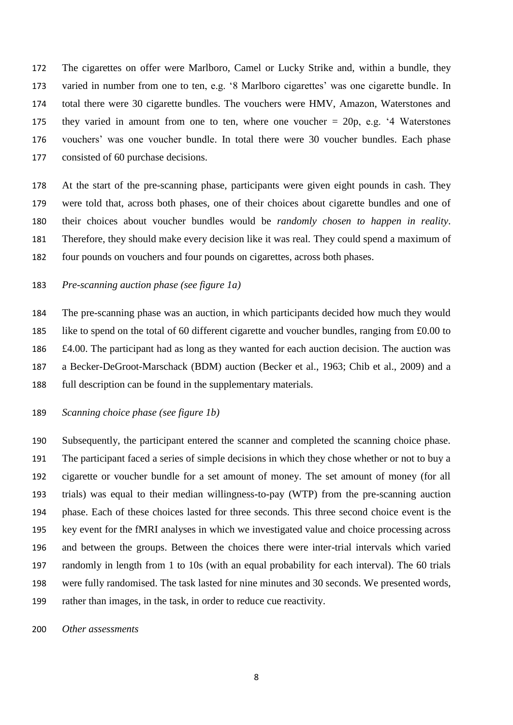The cigarettes on offer were Marlboro, Camel or Lucky Strike and, within a bundle, they varied in number from one to ten, e.g. '8 Marlboro cigarettes' was one cigarette bundle. In total there were 30 cigarette bundles. The vouchers were HMV, Amazon, Waterstones and 175 they varied in amount from one to ten, where one voucher  $= 20p$ , e.g. '4 Waterstones vouchers' was one voucher bundle. In total there were 30 voucher bundles. Each phase consisted of 60 purchase decisions.

 At the start of the pre-scanning phase, participants were given eight pounds in cash. They were told that, across both phases, one of their choices about cigarette bundles and one of their choices about voucher bundles would be *randomly chosen to happen in reality*. Therefore, they should make every decision like it was real. They could spend a maximum of four pounds on vouchers and four pounds on cigarettes, across both phases.

# *Pre-scanning auction phase (see figure 1a)*

 The pre-scanning phase was an auction, in which participants decided how much they would like to spend on the total of 60 different cigarette and voucher bundles, ranging from £0.00 to £4.00. The participant had as long as they wanted for each auction decision. The auction was a Becker-DeGroot-Marschack (BDM) auction (Becker et al., 1963; Chib et al., 2009) and a full description can be found in the supplementary materials.

# *Scanning choice phase (see figure 1b)*

 Subsequently, the participant entered the scanner and completed the scanning choice phase. The participant faced a series of simple decisions in which they chose whether or not to buy a cigarette or voucher bundle for a set amount of money. The set amount of money (for all trials) was equal to their median willingness-to-pay (WTP) from the pre-scanning auction phase. Each of these choices lasted for three seconds. This three second choice event is the key event for the fMRI analyses in which we investigated value and choice processing across and between the groups. Between the choices there were inter-trial intervals which varied randomly in length from 1 to 10s (with an equal probability for each interval). The 60 trials were fully randomised. The task lasted for nine minutes and 30 seconds. We presented words, rather than images, in the task, in order to reduce cue reactivity.

*Other assessments*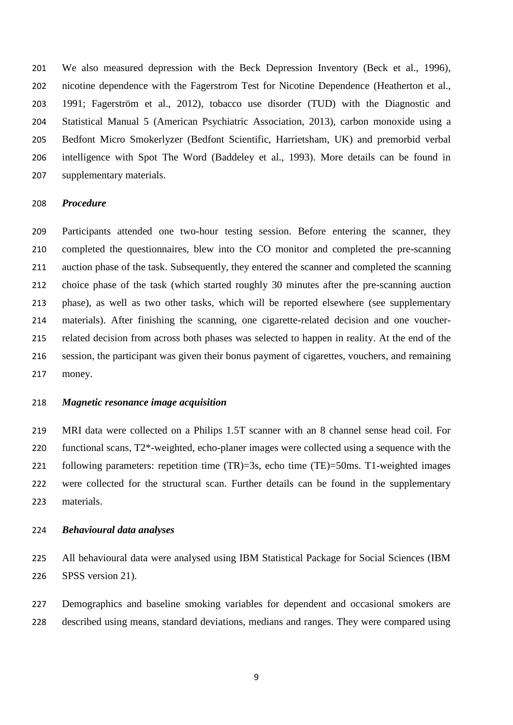We also measured depression with the Beck Depression Inventory (Beck et al., 1996), nicotine dependence with the Fagerstrom Test for Nicotine Dependence (Heatherton et al., 1991; Fagerström et al., 2012), tobacco use disorder (TUD) with the Diagnostic and Statistical Manual 5 (American Psychiatric Association, 2013), carbon monoxide using a Bedfont Micro Smokerlyzer (Bedfont Scientific, Harrietsham, UK) and premorbid verbal intelligence with Spot The Word (Baddeley et al., 1993). More details can be found in supplementary materials.

#### *Procedure*

 Participants attended one two-hour testing session. Before entering the scanner, they completed the questionnaires, blew into the CO monitor and completed the pre-scanning auction phase of the task. Subsequently, they entered the scanner and completed the scanning choice phase of the task (which started roughly 30 minutes after the pre-scanning auction phase), as well as two other tasks, which will be reported elsewhere (see supplementary materials). After finishing the scanning, one cigarette-related decision and one voucher- related decision from across both phases was selected to happen in reality. At the end of the session, the participant was given their bonus payment of cigarettes, vouchers, and remaining money.

# *Magnetic resonance image acquisition*

 MRI data were collected on a Philips 1.5T scanner with an 8 channel sense head coil. For functional scans, T2\*-weighted, echo-planer images were collected using a sequence with the following parameters: repetition time (TR)=3s, echo time (TE)=50ms. T1-weighted images were collected for the structural scan. Further details can be found in the supplementary materials.

## *Behavioural data analyses*

 All behavioural data were analysed using IBM Statistical Package for Social Sciences (IBM SPSS version 21).

 Demographics and baseline smoking variables for dependent and occasional smokers are described using means, standard deviations, medians and ranges. They were compared using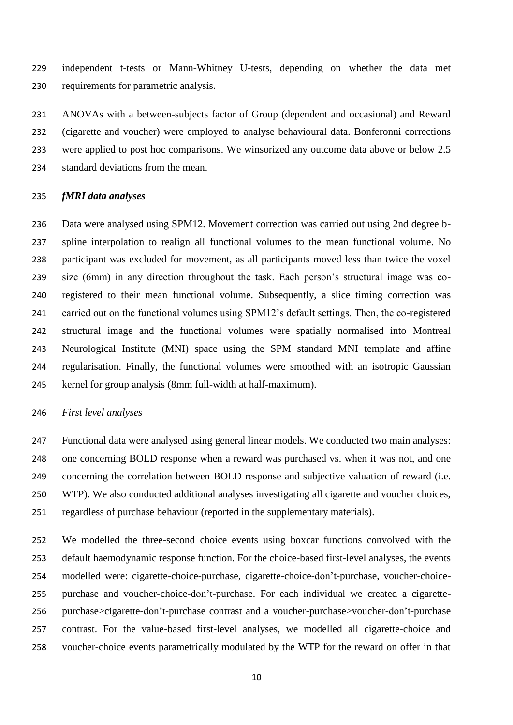independent t-tests or Mann-Whitney U-tests, depending on whether the data met requirements for parametric analysis.

 ANOVAs with a between-subjects factor of Group (dependent and occasional) and Reward (cigarette and voucher) were employed to analyse behavioural data. Bonferonni corrections were applied to post hoc comparisons. We winsorized any outcome data above or below 2.5 standard deviations from the mean.

#### *fMRI data analyses*

 Data were analysed using SPM12. Movement correction was carried out using 2nd degree b- spline interpolation to realign all functional volumes to the mean functional volume. No participant was excluded for movement, as all participants moved less than twice the voxel size (6mm) in any direction throughout the task. Each person's structural image was co- registered to their mean functional volume. Subsequently, a slice timing correction was carried out on the functional volumes using SPM12's default settings. Then, the co-registered structural image and the functional volumes were spatially normalised into Montreal Neurological Institute (MNI) space using the SPM standard MNI template and affine regularisation. Finally, the functional volumes were smoothed with an isotropic Gaussian kernel for group analysis (8mm full-width at half-maximum).

### *First level analyses*

 Functional data were analysed using general linear models. We conducted two main analyses: one concerning BOLD response when a reward was purchased vs. when it was not, and one concerning the correlation between BOLD response and subjective valuation of reward (i.e. WTP). We also conducted additional analyses investigating all cigarette and voucher choices, regardless of purchase behaviour (reported in the supplementary materials).

 We modelled the three-second choice events using boxcar functions convolved with the default haemodynamic response function. For the choice-based first-level analyses, the events modelled were: cigarette-choice-purchase, cigarette-choice-don't-purchase, voucher-choice- purchase and voucher-choice-don't-purchase. For each individual we created a cigarette- purchase>cigarette-don't-purchase contrast and a voucher-purchase>voucher-don't-purchase contrast. For the value-based first-level analyses, we modelled all cigarette-choice and voucher-choice events parametrically modulated by the WTP for the reward on offer in that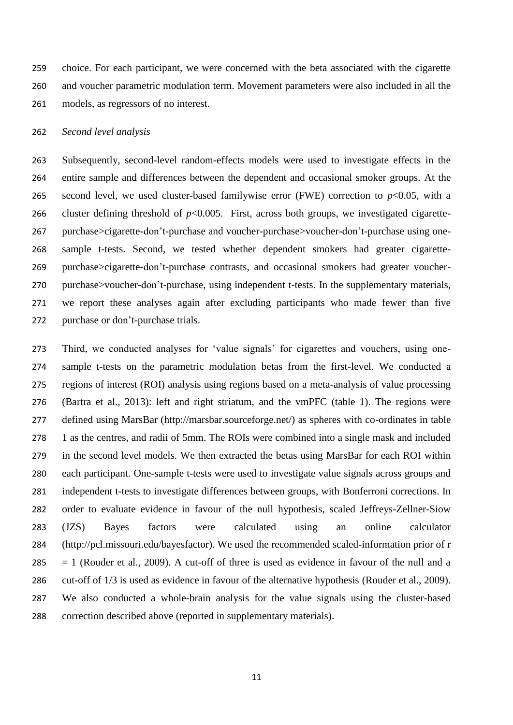choice. For each participant, we were concerned with the beta associated with the cigarette and voucher parametric modulation term. Movement parameters were also included in all the models, as regressors of no interest.

#### *Second level analysis*

 Subsequently, second-level random-effects models were used to investigate effects in the entire sample and differences between the dependent and occasional smoker groups. At the 265 second level, we used cluster-based familywise error (FWE) correction to  $p<0.05$ , with a 266 cluster defining threshold of  $p<0.005$ . First, across both groups, we investigated cigarette- purchase>cigarette-don't-purchase and voucher-purchase>voucher-don't-purchase using one- sample t-tests. Second, we tested whether dependent smokers had greater cigarette- purchase>cigarette-don't-purchase contrasts, and occasional smokers had greater voucher- purchase>voucher-don't-purchase, using independent t-tests. In the supplementary materials, we report these analyses again after excluding participants who made fewer than five purchase or don't-purchase trials.

 Third, we conducted analyses for 'value signals' for cigarettes and vouchers, using one- sample t-tests on the parametric modulation betas from the first-level. We conducted a regions of interest (ROI) analysis using regions based on a meta-analysis of value processing (Bartra et al., 2013): left and right striatum, and the vmPFC (table 1). The regions were defined using MarsBar (http://marsbar.sourceforge.net/) as spheres with co-ordinates in table 1 as the centres, and radii of 5mm. The ROIs were combined into a single mask and included in the second level models. We then extracted the betas using MarsBar for each ROI within each participant. One-sample t-tests were used to investigate value signals across groups and independent t-tests to investigate differences between groups, with Bonferroni corrections. In order to evaluate evidence in favour of the null hypothesis, scaled Jeffreys-Zellner-Siow (JZS) Bayes factors were calculated using an online calculator (http://pcl.missouri.edu/bayesfactor). We used the recommended scaled-information prior of r  $285 = 1$  (Rouder et al., 2009). A cut-off of three is used as evidence in favour of the null and a cut-off of 1/3 is used as evidence in favour of the alternative hypothesis (Rouder et al., 2009). We also conducted a whole-brain analysis for the value signals using the cluster-based correction described above (reported in supplementary materials).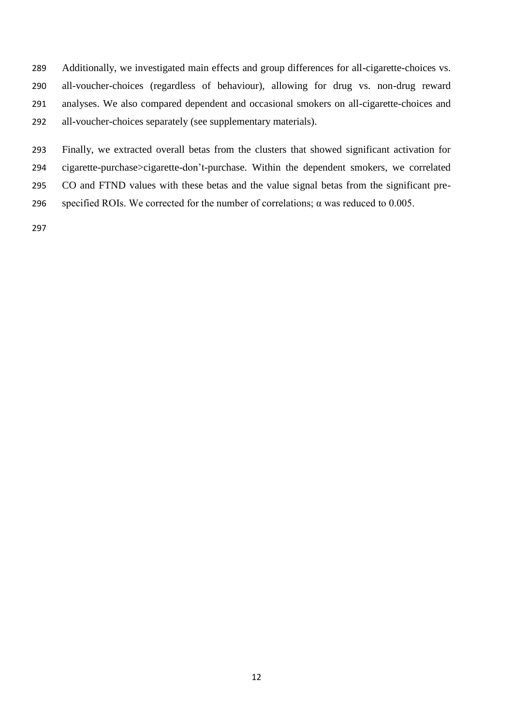Additionally, we investigated main effects and group differences for all-cigarette-choices vs. all-voucher-choices (regardless of behaviour), allowing for drug vs. non-drug reward analyses. We also compared dependent and occasional smokers on all-cigarette-choices and all-voucher-choices separately (see supplementary materials).

 Finally, we extracted overall betas from the clusters that showed significant activation for cigarette-purchase>cigarette-don't-purchase. Within the dependent smokers, we correlated CO and FTND values with these betas and the value signal betas from the significant pre-

296 specified ROIs. We corrected for the number of correlations;  $\alpha$  was reduced to 0.005.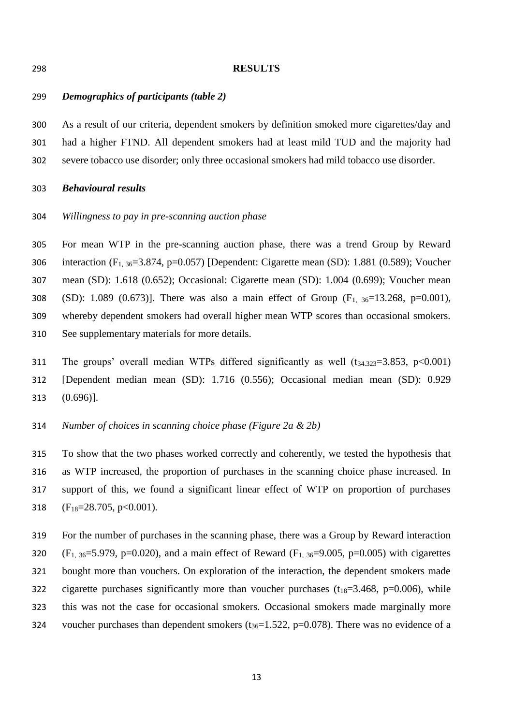#### **RESULTS**

# *Demographics of participants (table 2)*

 As a result of our criteria, dependent smokers by definition smoked more cigarettes/day and had a higher FTND. All dependent smokers had at least mild TUD and the majority had severe tobacco use disorder; only three occasional smokers had mild tobacco use disorder.

# *Behavioural results*

*Willingness to pay in pre-scanning auction phase*

 For mean WTP in the pre-scanning auction phase, there was a trend Group by Reward interaction (F1, 36=3.874, p=0.057) [Dependent: Cigarette mean (SD): 1.881 (0.589); Voucher mean (SD): 1.618 (0.652); Occasional: Cigarette mean (SD): 1.004 (0.699); Voucher mean 308 (SD): 1.089 (0.673)]. There was also a main effect of Group  $(F_1, 36=13.268, p=0.001)$ , whereby dependent smokers had overall higher mean WTP scores than occasional smokers. See supplementary materials for more details.

- 311 The groups' overall median WTPs differed significantly as well  $(t_{34.323}=3.853, p<0.001)$  [Dependent median mean (SD): 1.716 (0.556); Occasional median mean (SD): 0.929 (0.696)].
- *Number of choices in scanning choice phase (Figure 2a & 2b)*

 To show that the two phases worked correctly and coherently, we tested the hypothesis that as WTP increased, the proportion of purchases in the scanning choice phase increased. In support of this, we found a significant linear effect of WTP on proportion of purchases  $(F_{18}=28.705, p<0.001)$ .

 For the number of purchases in the scanning phase, there was a Group by Reward interaction 320 (F<sub>1, 36</sub>=5.979, p=0.020), and a main effect of Reward (F<sub>1, 36</sub>=9.005, p=0.005) with cigarettes bought more than vouchers. On exploration of the interaction, the dependent smokers made 322 cigarette purchases significantly more than voucher purchases  $(t_{18}=3.468, p=0.006)$ , while this was not the case for occasional smokers. Occasional smokers made marginally more 324 voucher purchases than dependent smokers ( $t_{36}=1.522$ , p=0.078). There was no evidence of a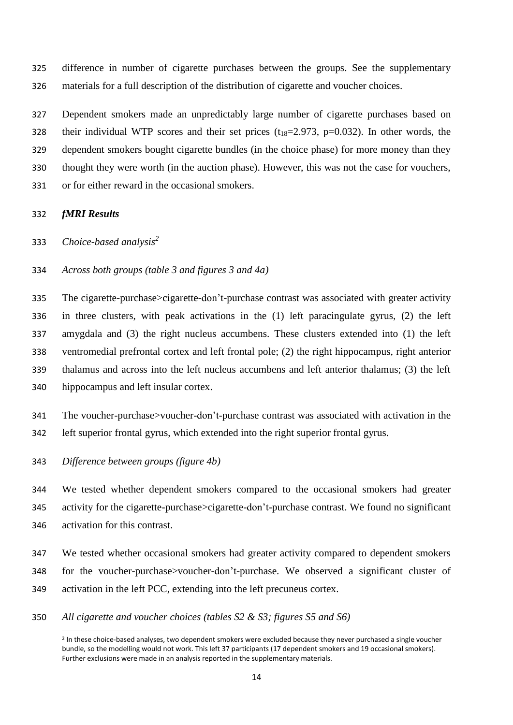difference in number of cigarette purchases between the groups. See the supplementary materials for a full description of the distribution of cigarette and voucher choices.

 Dependent smokers made an unpredictably large number of cigarette purchases based on 328 their individual WTP scores and their set prices  $(t_{18}=2.973, p=0.032)$ . In other words, the dependent smokers bought cigarette bundles (in the choice phase) for more money than they thought they were worth (in the auction phase). However, this was not the case for vouchers, or for either reward in the occasional smokers.

# *fMRI Results*

**.** 

*Choice-based analysis<sup>2</sup>* 

*Across both groups (table 3 and figures 3 and 4a)*

 The cigarette-purchase>cigarette-don't-purchase contrast was associated with greater activity in three clusters, with peak activations in the (1) left paracingulate gyrus, (2) the left amygdala and (3) the right nucleus accumbens. These clusters extended into (1) the left ventromedial prefrontal cortex and left frontal pole; (2) the right hippocampus, right anterior thalamus and across into the left nucleus accumbens and left anterior thalamus; (3) the left hippocampus and left insular cortex.

- The voucher-purchase>voucher-don't-purchase contrast was associated with activation in the left superior frontal gyrus, which extended into the right superior frontal gyrus.
- *Difference between groups (figure 4b)*

 We tested whether dependent smokers compared to the occasional smokers had greater activity for the cigarette-purchase>cigarette-don't-purchase contrast. We found no significant activation for this contrast.

- We tested whether occasional smokers had greater activity compared to dependent smokers for the voucher-purchase>voucher-don't-purchase. We observed a significant cluster of activation in the left PCC, extending into the left precuneus cortex.
- *All cigarette and voucher choices (tables S2 & S3; figures S5 and S6)*

<sup>&</sup>lt;sup>2</sup> In these choice-based analyses, two dependent smokers were excluded because they never purchased a single voucher bundle, so the modelling would not work. This left 37 participants (17 dependent smokers and 19 occasional smokers). Further exclusions were made in an analysis reported in the supplementary materials.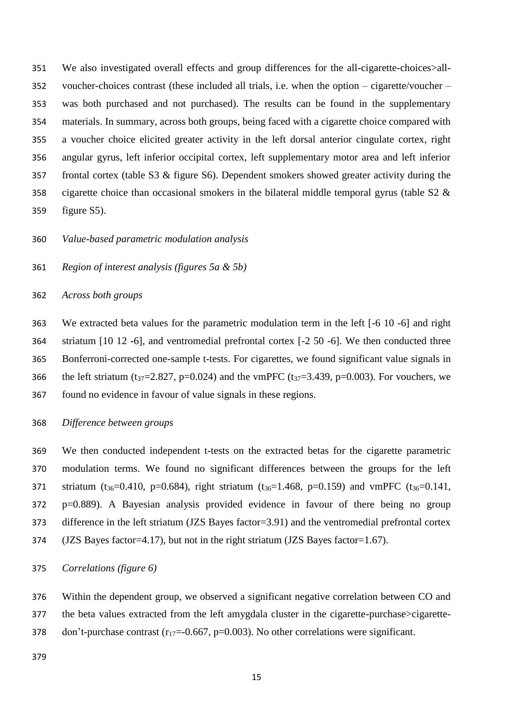We also investigated overall effects and group differences for the all-cigarette-choices>all- voucher-choices contrast (these included all trials, i.e. when the option – cigarette/voucher – was both purchased and not purchased). The results can be found in the supplementary materials. In summary, across both groups, being faced with a cigarette choice compared with a voucher choice elicited greater activity in the left dorsal anterior cingulate cortex, right angular gyrus, left inferior occipital cortex, left supplementary motor area and left inferior frontal cortex (table S3 & figure S6). Dependent smokers showed greater activity during the 358 cigarette choice than occasional smokers in the bilateral middle temporal gyrus (table  $S2 \&$ figure S5).

*Value-based parametric modulation analysis*

*Region of interest analysis (figures 5a & 5b)*

*Across both groups*

 We extracted beta values for the parametric modulation term in the left [-6 10 -6] and right striatum [10 12 -6], and ventromedial prefrontal cortex [-2 50 -6]. We then conducted three Bonferroni-corrected one-sample t-tests. For cigarettes, we found significant value signals in 366 the left striatum (t<sub>37</sub>=2.827, p=0.024) and the vmPFC (t<sub>37</sub>=3.439, p=0.003). For vouchers, we found no evidence in favour of value signals in these regions.

*Difference between groups*

 We then conducted independent t-tests on the extracted betas for the cigarette parametric modulation terms. We found no significant differences between the groups for the left 371 striatum (t<sub>36</sub>=0.410, p=0.684), right striatum (t<sub>36</sub>=1.468, p=0.159) and vmPFC (t<sub>36</sub>=0.141, p=0.889). A Bayesian analysis provided evidence in favour of there being no group 373 difference in the left striatum (JZS Bayes factor=3.91) and the ventromedial prefrontal cortex (JZS Bayes factor=4.17), but not in the right striatum (JZS Bayes factor=1.67).

*Correlations (figure 6)*

 Within the dependent group, we observed a significant negative correlation between CO and the beta values extracted from the left amygdala cluster in the cigarette-purchase>cigarette-378 don't-purchase contrast  $(r_{17}=-0.667, p=0.003)$ . No other correlations were significant.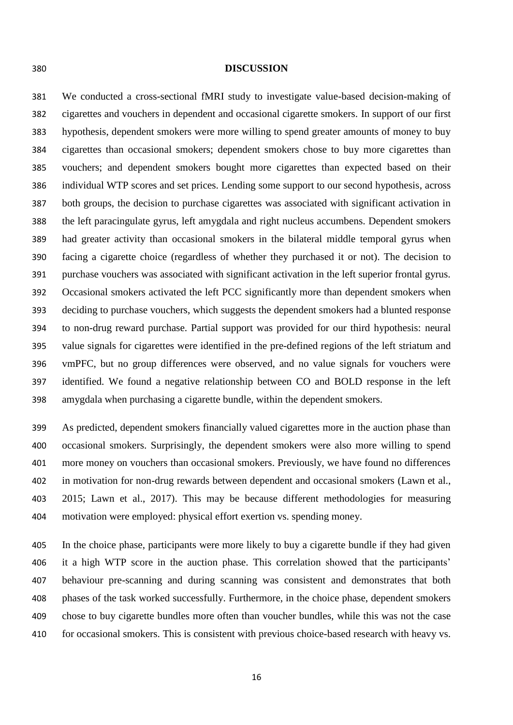#### **DISCUSSION**

 We conducted a cross-sectional fMRI study to investigate value-based decision-making of cigarettes and vouchers in dependent and occasional cigarette smokers. In support of our first hypothesis, dependent smokers were more willing to spend greater amounts of money to buy cigarettes than occasional smokers; dependent smokers chose to buy more cigarettes than vouchers; and dependent smokers bought more cigarettes than expected based on their individual WTP scores and set prices. Lending some support to our second hypothesis, across both groups, the decision to purchase cigarettes was associated with significant activation in the left paracingulate gyrus, left amygdala and right nucleus accumbens. Dependent smokers had greater activity than occasional smokers in the bilateral middle temporal gyrus when facing a cigarette choice (regardless of whether they purchased it or not). The decision to purchase vouchers was associated with significant activation in the left superior frontal gyrus. Occasional smokers activated the left PCC significantly more than dependent smokers when deciding to purchase vouchers, which suggests the dependent smokers had a blunted response to non-drug reward purchase. Partial support was provided for our third hypothesis: neural value signals for cigarettes were identified in the pre-defined regions of the left striatum and vmPFC, but no group differences were observed, and no value signals for vouchers were identified. We found a negative relationship between CO and BOLD response in the left amygdala when purchasing a cigarette bundle, within the dependent smokers.

 As predicted, dependent smokers financially valued cigarettes more in the auction phase than occasional smokers. Surprisingly, the dependent smokers were also more willing to spend more money on vouchers than occasional smokers. Previously, we have found no differences in motivation for non-drug rewards between dependent and occasional smokers (Lawn et al., 2015; Lawn et al., 2017). This may be because different methodologies for measuring motivation were employed: physical effort exertion vs. spending money.

 In the choice phase, participants were more likely to buy a cigarette bundle if they had given it a high WTP score in the auction phase. This correlation showed that the participants' behaviour pre-scanning and during scanning was consistent and demonstrates that both phases of the task worked successfully. Furthermore, in the choice phase, dependent smokers chose to buy cigarette bundles more often than voucher bundles, while this was not the case for occasional smokers. This is consistent with previous choice-based research with heavy vs.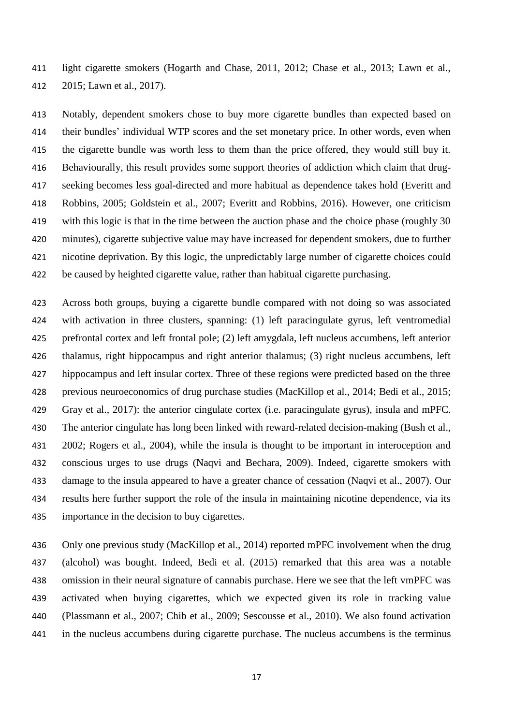light cigarette smokers (Hogarth and Chase, 2011, 2012; Chase et al., 2013; Lawn et al., 2015; Lawn et al., 2017).

 Notably, dependent smokers chose to buy more cigarette bundles than expected based on their bundles' individual WTP scores and the set monetary price. In other words, even when the cigarette bundle was worth less to them than the price offered, they would still buy it. Behaviourally, this result provides some support theories of addiction which claim that drug- seeking becomes less goal-directed and more habitual as dependence takes hold (Everitt and Robbins, 2005; Goldstein et al., 2007; Everitt and Robbins, 2016). However, one criticism 419 with this logic is that in the time between the auction phase and the choice phase (roughly 30 minutes), cigarette subjective value may have increased for dependent smokers, due to further nicotine deprivation. By this logic, the unpredictably large number of cigarette choices could be caused by heighted cigarette value, rather than habitual cigarette purchasing.

 Across both groups, buying a cigarette bundle compared with not doing so was associated with activation in three clusters, spanning: (1) left paracingulate gyrus, left ventromedial prefrontal cortex and left frontal pole; (2) left amygdala, left nucleus accumbens, left anterior thalamus, right hippocampus and right anterior thalamus; (3) right nucleus accumbens, left hippocampus and left insular cortex. Three of these regions were predicted based on the three previous neuroeconomics of drug purchase studies (MacKillop et al., 2014; Bedi et al., 2015; Gray et al., 2017): the anterior cingulate cortex (i.e. paracingulate gyrus), insula and mPFC. The anterior cingulate has long been linked with reward-related decision-making (Bush et al., 2002; Rogers et al., 2004), while the insula is thought to be important in interoception and conscious urges to use drugs (Naqvi and Bechara, 2009). Indeed, cigarette smokers with damage to the insula appeared to have a greater chance of cessation (Naqvi et al., 2007). Our results here further support the role of the insula in maintaining nicotine dependence, via its importance in the decision to buy cigarettes.

 Only one previous study (MacKillop et al., 2014) reported mPFC involvement when the drug (alcohol) was bought. Indeed, Bedi et al. (2015) remarked that this area was a notable omission in their neural signature of cannabis purchase. Here we see that the left vmPFC was activated when buying cigarettes, which we expected given its role in tracking value (Plassmann et al., 2007; Chib et al., 2009; Sescousse et al., 2010). We also found activation in the nucleus accumbens during cigarette purchase. The nucleus accumbens is the terminus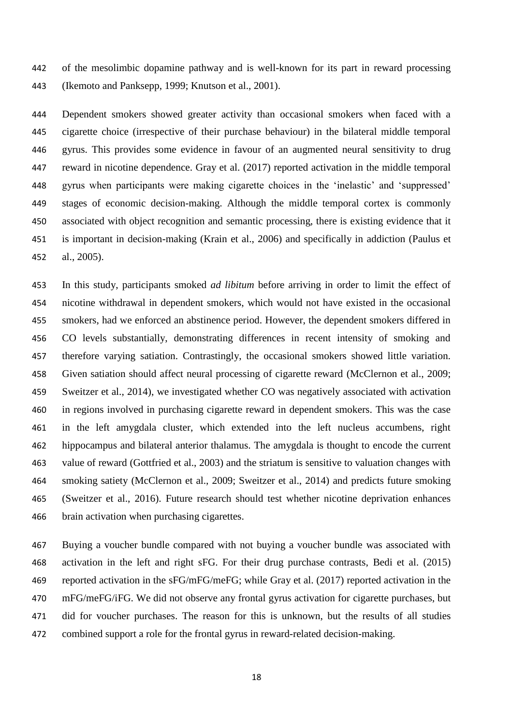of the mesolimbic dopamine pathway and is well-known for its part in reward processing (Ikemoto and Panksepp, 1999; Knutson et al., 2001).

 Dependent smokers showed greater activity than occasional smokers when faced with a cigarette choice (irrespective of their purchase behaviour) in the bilateral middle temporal gyrus. This provides some evidence in favour of an augmented neural sensitivity to drug reward in nicotine dependence. Gray et al. (2017) reported activation in the middle temporal gyrus when participants were making cigarette choices in the 'inelastic' and 'suppressed' stages of economic decision-making. Although the middle temporal cortex is commonly associated with object recognition and semantic processing, there is existing evidence that it is important in decision-making (Krain et al., 2006) and specifically in addiction (Paulus et al., 2005).

 In this study, participants smoked *ad libitum* before arriving in order to limit the effect of nicotine withdrawal in dependent smokers, which would not have existed in the occasional smokers, had we enforced an abstinence period. However, the dependent smokers differed in CO levels substantially, demonstrating differences in recent intensity of smoking and therefore varying satiation. Contrastingly, the occasional smokers showed little variation. Given satiation should affect neural processing of cigarette reward (McClernon et al., 2009; Sweitzer et al., 2014), we investigated whether CO was negatively associated with activation in regions involved in purchasing cigarette reward in dependent smokers. This was the case in the left amygdala cluster, which extended into the left nucleus accumbens, right hippocampus and bilateral anterior thalamus. The amygdala is thought to encode the current value of reward (Gottfried et al., 2003) and the striatum is sensitive to valuation changes with smoking satiety (McClernon et al., 2009; Sweitzer et al., 2014) and predicts future smoking (Sweitzer et al., 2016). Future research should test whether nicotine deprivation enhances brain activation when purchasing cigarettes.

 Buying a voucher bundle compared with not buying a voucher bundle was associated with activation in the left and right sFG. For their drug purchase contrasts, Bedi et al. (2015) reported activation in the sFG/mFG/meFG; while Gray et al. (2017) reported activation in the mFG/meFG/iFG. We did not observe any frontal gyrus activation for cigarette purchases, but did for voucher purchases. The reason for this is unknown, but the results of all studies combined support a role for the frontal gyrus in reward-related decision-making.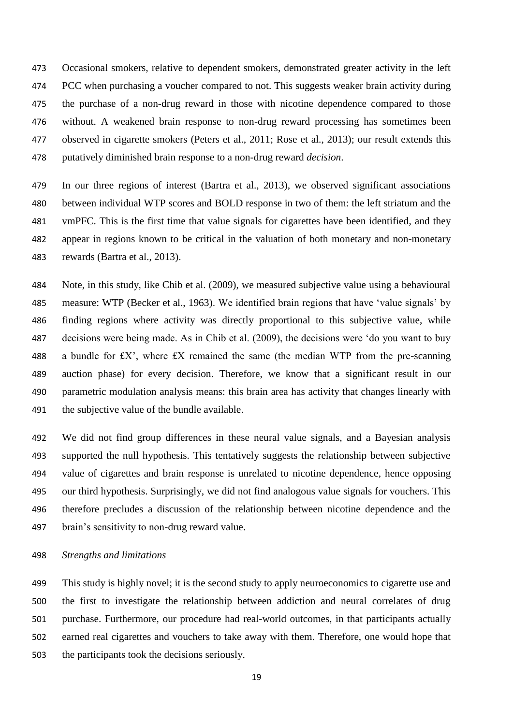Occasional smokers, relative to dependent smokers, demonstrated greater activity in the left 474 PCC when purchasing a voucher compared to not. This suggests weaker brain activity during the purchase of a non-drug reward in those with nicotine dependence compared to those without. A weakened brain response to non-drug reward processing has sometimes been observed in cigarette smokers (Peters et al., 2011; Rose et al., 2013); our result extends this putatively diminished brain response to a non-drug reward *decision*.

 In our three regions of interest (Bartra et al., 2013), we observed significant associations between individual WTP scores and BOLD response in two of them: the left striatum and the vmPFC. This is the first time that value signals for cigarettes have been identified, and they appear in regions known to be critical in the valuation of both monetary and non-monetary rewards (Bartra et al., 2013).

 Note, in this study, like Chib et al. (2009), we measured subjective value using a behavioural measure: WTP (Becker et al., 1963). We identified brain regions that have 'value signals' by finding regions where activity was directly proportional to this subjective value, while decisions were being made. As in Chib et al. (2009), the decisions were 'do you want to buy 488 a bundle for  $f{X}$ , where  $f{X}$  remained the same (the median WTP from the pre-scanning auction phase) for every decision. Therefore, we know that a significant result in our parametric modulation analysis means: this brain area has activity that changes linearly with 491 the subjective value of the bundle available.

 We did not find group differences in these neural value signals, and a Bayesian analysis supported the null hypothesis. This tentatively suggests the relationship between subjective value of cigarettes and brain response is unrelated to nicotine dependence, hence opposing our third hypothesis. Surprisingly, we did not find analogous value signals for vouchers. This therefore precludes a discussion of the relationship between nicotine dependence and the brain's sensitivity to non-drug reward value.

*Strengths and limitations*

 This study is highly novel; it is the second study to apply neuroeconomics to cigarette use and the first to investigate the relationship between addiction and neural correlates of drug purchase. Furthermore, our procedure had real-world outcomes, in that participants actually earned real cigarettes and vouchers to take away with them. Therefore, one would hope that the participants took the decisions seriously.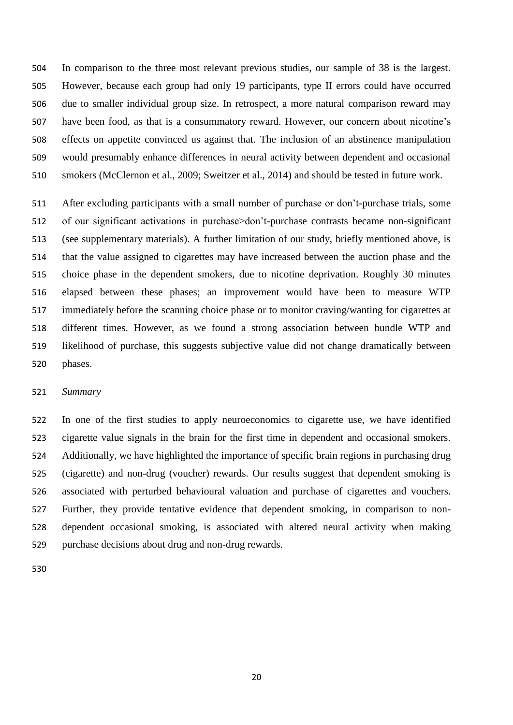In comparison to the three most relevant previous studies, our sample of 38 is the largest. However, because each group had only 19 participants, type II errors could have occurred due to smaller individual group size. In retrospect, a more natural comparison reward may have been food, as that is a consummatory reward. However, our concern about nicotine's effects on appetite convinced us against that. The inclusion of an abstinence manipulation would presumably enhance differences in neural activity between dependent and occasional smokers (McClernon et al., 2009; Sweitzer et al., 2014) and should be tested in future work.

 After excluding participants with a small number of purchase or don't-purchase trials, some 512 of our significant activations in purchase>don't-purchase contrasts became non-significant (see supplementary materials). A further limitation of our study, briefly mentioned above, is that the value assigned to cigarettes may have increased between the auction phase and the choice phase in the dependent smokers, due to nicotine deprivation. Roughly 30 minutes elapsed between these phases; an improvement would have been to measure WTP immediately before the scanning choice phase or to monitor craving/wanting for cigarettes at different times. However, as we found a strong association between bundle WTP and likelihood of purchase, this suggests subjective value did not change dramatically between phases.

## *Summary*

 In one of the first studies to apply neuroeconomics to cigarette use, we have identified cigarette value signals in the brain for the first time in dependent and occasional smokers. Additionally, we have highlighted the importance of specific brain regions in purchasing drug (cigarette) and non-drug (voucher) rewards. Our results suggest that dependent smoking is associated with perturbed behavioural valuation and purchase of cigarettes and vouchers. Further, they provide tentative evidence that dependent smoking, in comparison to non- dependent occasional smoking, is associated with altered neural activity when making purchase decisions about drug and non-drug rewards.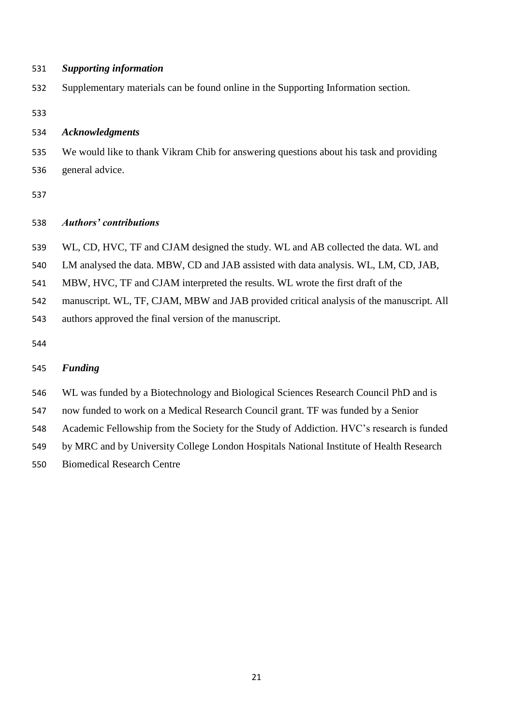*Supporting information*

Supplementary materials can be found online in the Supporting Information section.

### *Acknowledgments*

 We would like to thank Vikram Chib for answering questions about his task and providing general advice.

# *Authors' contributions*

WL, CD, HVC, TF and CJAM designed the study. WL and AB collected the data. WL and

LM analysed the data. MBW, CD and JAB assisted with data analysis. WL, LM, CD, JAB,

MBW, HVC, TF and CJAM interpreted the results. WL wrote the first draft of the

manuscript. WL, TF, CJAM, MBW and JAB provided critical analysis of the manuscript. All

authors approved the final version of the manuscript.

# *Funding*

WL was funded by a Biotechnology and Biological Sciences Research Council PhD and is

now funded to work on a Medical Research Council grant. TF was funded by a Senior

Academic Fellowship from the Society for the Study of Addiction. HVC's research is funded

by MRC and by University College London Hospitals National Institute of Health Research

Biomedical Research Centre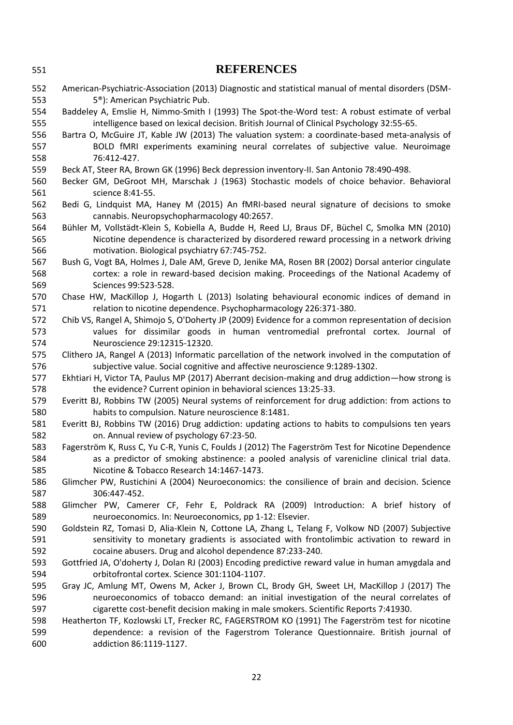| 551 | <b>REFERENCES</b>                                                                                   |
|-----|-----------------------------------------------------------------------------------------------------|
| 552 | American-Psychiatric-Association (2013) Diagnostic and statistical manual of mental disorders (DSM- |
| 553 | 5 <sup>®</sup> ): American Psychiatric Pub.                                                         |
| 554 | Baddeley A, Emslie H, Nimmo-Smith I (1993) The Spot-the-Word test: A robust estimate of verbal      |
| 555 | intelligence based on lexical decision. British Journal of Clinical Psychology 32:55-65.            |
| 556 | Bartra O, McGuire JT, Kable JW (2013) The valuation system: a coordinate-based meta-analysis of     |
| 557 | BOLD fMRI experiments examining neural correlates of subjective value. Neuroimage                   |
| 558 | 76:412-427.                                                                                         |
| 559 | Beck AT, Steer RA, Brown GK (1996) Beck depression inventory-II. San Antonio 78:490-498.            |
| 560 | Becker GM, DeGroot MH, Marschak J (1963) Stochastic models of choice behavior. Behavioral           |
| 561 | science 8:41-55.                                                                                    |
| 562 | Bedi G, Lindquist MA, Haney M (2015) An fMRI-based neural signature of decisions to smoke           |
| 563 | cannabis. Neuropsychopharmacology 40:2657.                                                          |
| 564 | Bühler M, Vollstädt-Klein S, Kobiella A, Budde H, Reed LJ, Braus DF, Büchel C, Smolka MN (2010)     |
| 565 | Nicotine dependence is characterized by disordered reward processing in a network driving           |
| 566 | motivation. Biological psychiatry 67:745-752.                                                       |
| 567 | Bush G, Vogt BA, Holmes J, Dale AM, Greve D, Jenike MA, Rosen BR (2002) Dorsal anterior cingulate   |
| 568 | cortex: a role in reward-based decision making. Proceedings of the National Academy of              |
| 569 | Sciences 99:523-528.                                                                                |
| 570 | Chase HW, MacKillop J, Hogarth L (2013) Isolating behavioural economic indices of demand in         |
| 571 | relation to nicotine dependence. Psychopharmacology 226:371-380.                                    |
| 572 | Chib VS, Rangel A, Shimojo S, O'Doherty JP (2009) Evidence for a common representation of decision  |
| 573 | values for dissimilar goods in human ventromedial prefrontal cortex. Journal of                     |
| 574 | Neuroscience 29:12315-12320.                                                                        |
| 575 | Clithero JA, Rangel A (2013) Informatic parcellation of the network involved in the computation of  |
| 576 | subjective value. Social cognitive and affective neuroscience 9:1289-1302.                          |
| 577 | Ekhtiari H, Victor TA, Paulus MP (2017) Aberrant decision-making and drug addiction-how strong is   |
| 578 | the evidence? Current opinion in behavioral sciences 13:25-33.                                      |
| 579 | Everitt BJ, Robbins TW (2005) Neural systems of reinforcement for drug addiction: from actions to   |
| 580 | habits to compulsion. Nature neuroscience 8:1481.                                                   |
| 581 | Everitt BJ, Robbins TW (2016) Drug addiction: updating actions to habits to compulsions ten years   |
| 582 | on. Annual review of psychology 67:23-50.                                                           |
| 583 | Fagerström K, Russ C, Yu C-R, Yunis C, Foulds J (2012) The Fagerström Test for Nicotine Dependence  |
| 584 | as a predictor of smoking abstinence: a pooled analysis of varenicline clinical trial data.         |
| 585 | Nicotine & Tobacco Research 14:1467-1473.                                                           |
| 586 | Glimcher PW, Rustichini A (2004) Neuroeconomics: the consilience of brain and decision. Science     |
| 587 | 306:447-452.                                                                                        |
| 588 | Glimcher PW, Camerer CF, Fehr E, Poldrack RA (2009) Introduction: A brief history of                |
| 589 | neuroeconomics. In: Neuroeconomics, pp 1-12: Elsevier.                                              |
| 590 | Goldstein RZ, Tomasi D, Alia-Klein N, Cottone LA, Zhang L, Telang F, Volkow ND (2007) Subjective    |
| 591 | sensitivity to monetary gradients is associated with frontolimbic activation to reward in           |
| 592 | cocaine abusers. Drug and alcohol dependence 87:233-240.                                            |
| 593 | Gottfried JA, O'doherty J, Dolan RJ (2003) Encoding predictive reward value in human amygdala and   |
| 594 | orbitofrontal cortex. Science 301:1104-1107.                                                        |
| 595 | Gray JC, Amlung MT, Owens M, Acker J, Brown CL, Brody GH, Sweet LH, MacKillop J (2017) The          |
| 596 | neuroeconomics of tobacco demand: an initial investigation of the neural correlates of              |
| 597 | cigarette cost-benefit decision making in male smokers. Scientific Reports 7:41930.                 |
| 598 | Heatherton TF, Kozlowski LT, Frecker RC, FAGERSTROM KO (1991) The Fagerström test for nicotine      |
| 599 | dependence: a revision of the Fagerstrom Tolerance Questionnaire. British journal of                |
| 600 | addiction 86:1119-1127.                                                                             |
|     |                                                                                                     |
|     |                                                                                                     |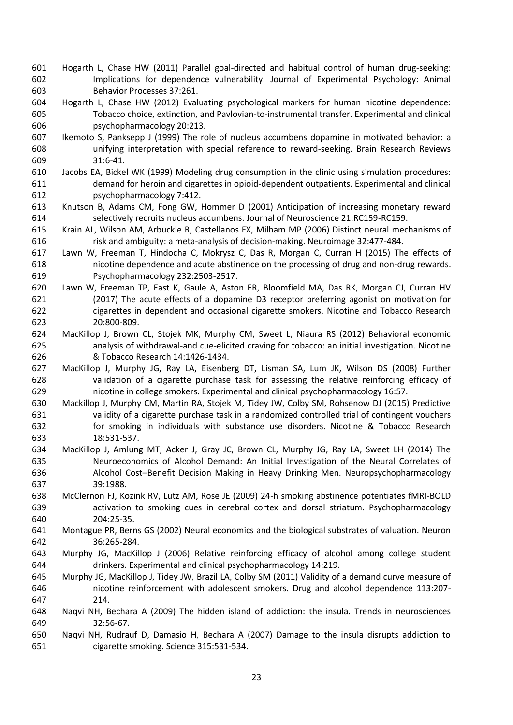- Hogarth L, Chase HW (2011) Parallel goal-directed and habitual control of human drug-seeking: Implications for dependence vulnerability. Journal of Experimental Psychology: Animal Behavior Processes 37:261.
- Hogarth L, Chase HW (2012) Evaluating psychological markers for human nicotine dependence: Tobacco choice, extinction, and Pavlovian-to-instrumental transfer. Experimental and clinical psychopharmacology 20:213.
- Ikemoto S, Panksepp J (1999) The role of nucleus accumbens dopamine in motivated behavior: a unifying interpretation with special reference to reward-seeking. Brain Research Reviews 31:6-41.
- Jacobs EA, Bickel WK (1999) Modeling drug consumption in the clinic using simulation procedures: demand for heroin and cigarettes in opioid-dependent outpatients. Experimental and clinical psychopharmacology 7:412.
- Knutson B, Adams CM, Fong GW, Hommer D (2001) Anticipation of increasing monetary reward selectively recruits nucleus accumbens. Journal of Neuroscience 21:RC159-RC159.
- Krain AL, Wilson AM, Arbuckle R, Castellanos FX, Milham MP (2006) Distinct neural mechanisms of risk and ambiguity: a meta-analysis of decision-making. Neuroimage 32:477-484.
- Lawn W, Freeman T, Hindocha C, Mokrysz C, Das R, Morgan C, Curran H (2015) The effects of nicotine dependence and acute abstinence on the processing of drug and non-drug rewards. Psychopharmacology 232:2503-2517.
- Lawn W, Freeman TP, East K, Gaule A, Aston ER, Bloomfield MA, Das RK, Morgan CJ, Curran HV (2017) The acute effects of a dopamine D3 receptor preferring agonist on motivation for cigarettes in dependent and occasional cigarette smokers. Nicotine and Tobacco Research 20:800-809.
- MacKillop J, Brown CL, Stojek MK, Murphy CM, Sweet L, Niaura RS (2012) Behavioral economic analysis of withdrawal-and cue-elicited craving for tobacco: an initial investigation. Nicotine & Tobacco Research 14:1426-1434.
- MacKillop J, Murphy JG, Ray LA, Eisenberg DT, Lisman SA, Lum JK, Wilson DS (2008) Further validation of a cigarette purchase task for assessing the relative reinforcing efficacy of nicotine in college smokers. Experimental and clinical psychopharmacology 16:57.
- Mackillop J, Murphy CM, Martin RA, Stojek M, Tidey JW, Colby SM, Rohsenow DJ (2015) Predictive validity of a cigarette purchase task in a randomized controlled trial of contingent vouchers for smoking in individuals with substance use disorders. Nicotine & Tobacco Research 18:531-537.
- MacKillop J, Amlung MT, Acker J, Gray JC, Brown CL, Murphy JG, Ray LA, Sweet LH (2014) The Neuroeconomics of Alcohol Demand: An Initial Investigation of the Neural Correlates of Alcohol Cost–Benefit Decision Making in Heavy Drinking Men. Neuropsychopharmacology 39:1988.
- McClernon FJ, Kozink RV, Lutz AM, Rose JE (2009) 24-h smoking abstinence potentiates fMRI-BOLD activation to smoking cues in cerebral cortex and dorsal striatum. Psychopharmacology 204:25-35.
- Montague PR, Berns GS (2002) Neural economics and the biological substrates of valuation. Neuron 36:265-284.
- Murphy JG, MacKillop J (2006) Relative reinforcing efficacy of alcohol among college student drinkers. Experimental and clinical psychopharmacology 14:219.
- Murphy JG, MacKillop J, Tidey JW, Brazil LA, Colby SM (2011) Validity of a demand curve measure of nicotine reinforcement with adolescent smokers. Drug and alcohol dependence 113:207- 214.
- Naqvi NH, Bechara A (2009) The hidden island of addiction: the insula. Trends in neurosciences 32:56-67.
- Naqvi NH, Rudrauf D, Damasio H, Bechara A (2007) Damage to the insula disrupts addiction to cigarette smoking. Science 315:531-534.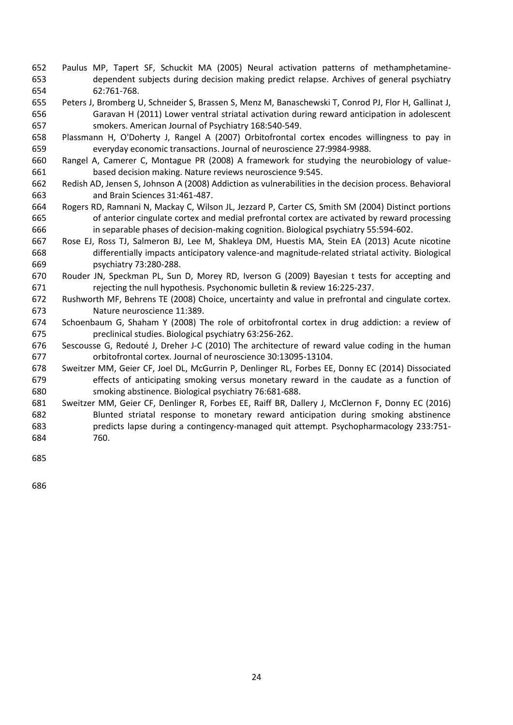- Paulus MP, Tapert SF, Schuckit MA (2005) Neural activation patterns of methamphetamine- dependent subjects during decision making predict relapse. Archives of general psychiatry 62:761-768.
- Peters J, Bromberg U, Schneider S, Brassen S, Menz M, Banaschewski T, Conrod PJ, Flor H, Gallinat J, Garavan H (2011) Lower ventral striatal activation during reward anticipation in adolescent smokers. American Journal of Psychiatry 168:540-549.
- Plassmann H, O'Doherty J, Rangel A (2007) Orbitofrontal cortex encodes willingness to pay in everyday economic transactions. Journal of neuroscience 27:9984-9988.
- Rangel A, Camerer C, Montague PR (2008) A framework for studying the neurobiology of value-based decision making. Nature reviews neuroscience 9:545.
- Redish AD, Jensen S, Johnson A (2008) Addiction as vulnerabilities in the decision process. Behavioral and Brain Sciences 31:461-487.
- Rogers RD, Ramnani N, Mackay C, Wilson JL, Jezzard P, Carter CS, Smith SM (2004) Distinct portions of anterior cingulate cortex and medial prefrontal cortex are activated by reward processing in separable phases of decision-making cognition. Biological psychiatry 55:594-602.
- Rose EJ, Ross TJ, Salmeron BJ, Lee M, Shakleya DM, Huestis MA, Stein EA (2013) Acute nicotine differentially impacts anticipatory valence-and magnitude-related striatal activity. Biological psychiatry 73:280-288.
- Rouder JN, Speckman PL, Sun D, Morey RD, Iverson G (2009) Bayesian t tests for accepting and rejecting the null hypothesis. Psychonomic bulletin & review 16:225-237.
- Rushworth MF, Behrens TE (2008) Choice, uncertainty and value in prefrontal and cingulate cortex. Nature neuroscience 11:389.
- Schoenbaum G, Shaham Y (2008) The role of orbitofrontal cortex in drug addiction: a review of preclinical studies. Biological psychiatry 63:256-262.
- Sescousse G, Redouté J, Dreher J-C (2010) The architecture of reward value coding in the human orbitofrontal cortex. Journal of neuroscience 30:13095-13104.
- Sweitzer MM, Geier CF, Joel DL, McGurrin P, Denlinger RL, Forbes EE, Donny EC (2014) Dissociated effects of anticipating smoking versus monetary reward in the caudate as a function of smoking abstinence. Biological psychiatry 76:681-688.
- Sweitzer MM, Geier CF, Denlinger R, Forbes EE, Raiff BR, Dallery J, McClernon F, Donny EC (2016) Blunted striatal response to monetary reward anticipation during smoking abstinence predicts lapse during a contingency-managed quit attempt. Psychopharmacology 233:751- 760.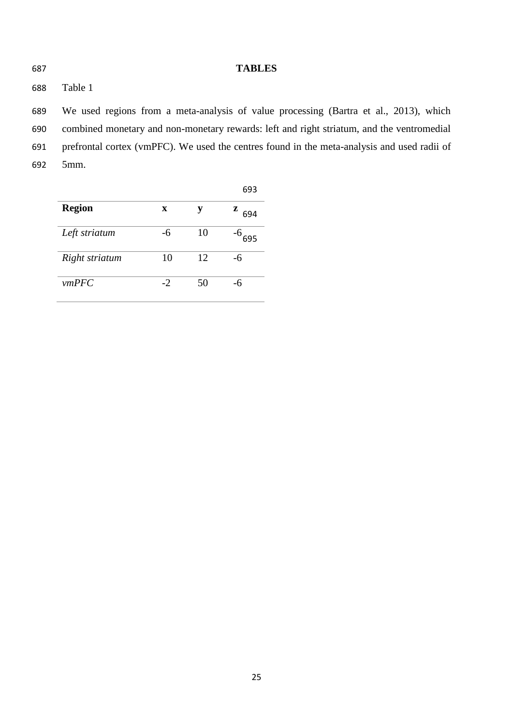**TABLES**

Table 1

 We used regions from a meta-analysis of value processing (Bartra et al., 2013), which combined monetary and non-monetary rewards: left and right striatum, and the ventromedial prefrontal cortex (vmPFC). We used the centres found in the meta-analysis and used radii of 5mm.

|                |      |    | 693      |
|----------------|------|----|----------|
| <b>Region</b>  | X    | у  | z<br>694 |
| Left striatum  | -6   | 10 | 695      |
| Right striatum | 10   | 12 | -6       |
| vmPFC          | $-2$ | 50 | -6       |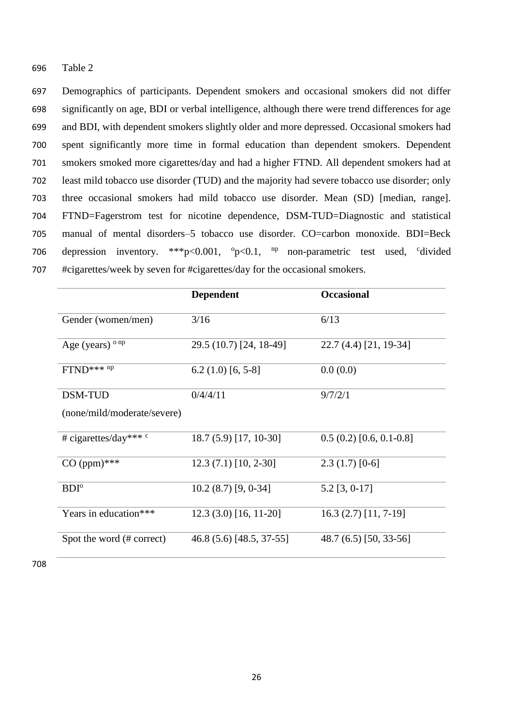696 Table 2

 Demographics of participants. Dependent smokers and occasional smokers did not differ significantly on age, BDI or verbal intelligence, although there were trend differences for age and BDI, with dependent smokers slightly older and more depressed. Occasional smokers had spent significantly more time in formal education than dependent smokers. Dependent smokers smoked more cigarettes/day and had a higher FTND. All dependent smokers had at least mild tobacco use disorder (TUD) and the majority had severe tobacco use disorder; only three occasional smokers had mild tobacco use disorder. Mean (SD) [median, range]. FTND=Fagerstrom test for nicotine dependence, DSM-TUD=Diagnostic and statistical manual of mental disorders–5 tobacco use disorder. CO=carbon monoxide. BDI=Beck 706 depression inventory. \*\*\*p<0.001, °p<0.1, <sup>np</sup> non-parametric test used, °divided #cigarettes/week by seven for #cigarettes/day for the occasional smokers.

|                                      | <b>Dependent</b>         | <b>Occasional</b>        |
|--------------------------------------|--------------------------|--------------------------|
| Gender (women/men)                   | 3/16                     | 6/13                     |
| Age (years) $^{\circ}$ <sup>np</sup> | 29.5 (10.7) [24, 18-49]  | 22.7 (4.4) [21, 19-34]   |
| $FTND***np$                          | $6.2(1.0)$ [6, 5-8]      | 0.0(0.0)                 |
| <b>DSM-TUD</b>                       | 0/4/4/11                 | 9/7/2/1                  |
| (none/mild/moderate/severe)          |                          |                          |
| # cigarettes/day*** c                | 18.7 (5.9) [17, 10-30]   | $0.5(0.2)[0.6, 0.1-0.8]$ |
| $CO (ppm)$ ***                       | $12.3(7.1)[10, 2-30]$    | $2.3(1.7)[0-6]$          |
| $BDI^{\circ}$                        | $10.2(8.7)$ [9, 0-34]    | $5.2$ [3, 0-17]          |
| Years in education***                | $12.3(3.0)$ [16, 11-20]  | $16.3(2.7)$ [11, 7-19]   |
| Spot the word (# correct)            | 46.8 (5.6) [48.5, 37-55] | 48.7 (6.5) [50, 33-56]   |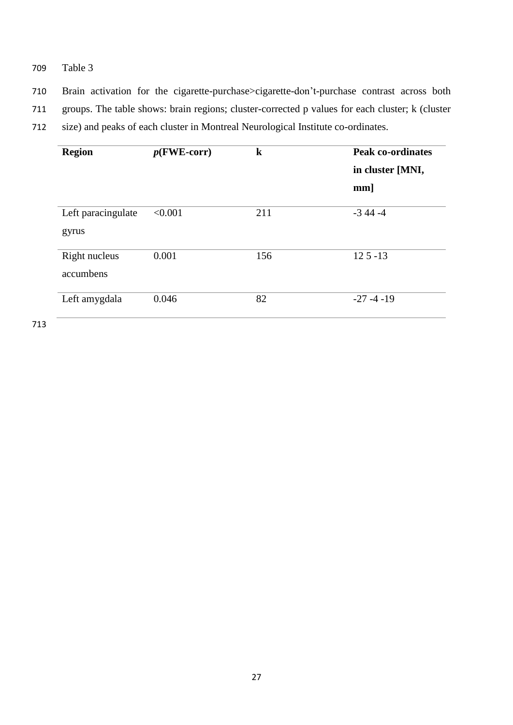- 709 Table 3
- 710 Brain activation for the cigarette-purchase>cigarette-don't-purchase contrast across both
- 711 groups. The table shows: brain regions; cluster-corrected p values for each cluster; k (cluster
- 712 size) and peaks of each cluster in Montreal Neurological Institute co-ordinates.

| <b>Region</b>               | $p$ (FWE-corr) | $\bf k$ | <b>Peak co-ordinates</b><br>in cluster [MNI, |  |
|-----------------------------|----------------|---------|----------------------------------------------|--|
|                             |                |         | $mm$ ]                                       |  |
| Left paracingulate<br>gyrus | < 0.001        | 211     | $-344 - 4$                                   |  |
| Right nucleus<br>accumbens  | 0.001          | 156     | $125 - 13$                                   |  |
| Left amygdala               | 0.046          | 82      | $-27 - 4 - 19$                               |  |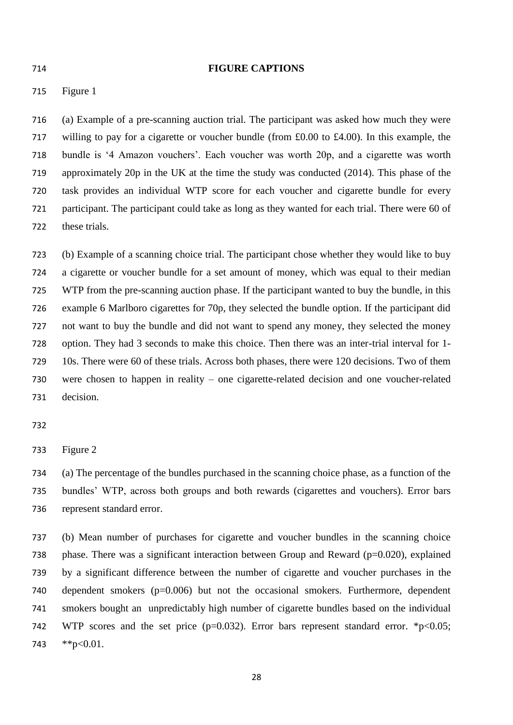#### **FIGURE CAPTIONS**

Figure 1

 (a) Example of a pre-scanning auction trial. The participant was asked how much they were willing to pay for a cigarette or voucher bundle (from £0.00 to £4.00). In this example, the bundle is '4 Amazon vouchers'. Each voucher was worth 20p, and a cigarette was worth approximately 20p in the UK at the time the study was conducted (2014). This phase of the task provides an individual WTP score for each voucher and cigarette bundle for every participant. The participant could take as long as they wanted for each trial. There were 60 of these trials.

 (b) Example of a scanning choice trial. The participant chose whether they would like to buy a cigarette or voucher bundle for a set amount of money, which was equal to their median WTP from the pre-scanning auction phase. If the participant wanted to buy the bundle, in this example 6 Marlboro cigarettes for 70p, they selected the bundle option. If the participant did not want to buy the bundle and did not want to spend any money, they selected the money option. They had 3 seconds to make this choice. Then there was an inter-trial interval for 1- 10s. There were 60 of these trials. Across both phases, there were 120 decisions. Two of them were chosen to happen in reality – one cigarette-related decision and one voucher-related decision.

Figure 2

 (a) The percentage of the bundles purchased in the scanning choice phase, as a function of the bundles' WTP, across both groups and both rewards (cigarettes and vouchers). Error bars represent standard error.

 (b) Mean number of purchases for cigarette and voucher bundles in the scanning choice 738 phase. There was a significant interaction between Group and Reward ( $p=0.020$ ), explained by a significant difference between the number of cigarette and voucher purchases in the dependent smokers (p=0.006) but not the occasional smokers. Furthermore, dependent smokers bought an unpredictably high number of cigarette bundles based on the individual 742 WTP scores and the set price  $(p=0.032)$ . Error bars represent standard error. \*p<0.05; \*\*p<0.01.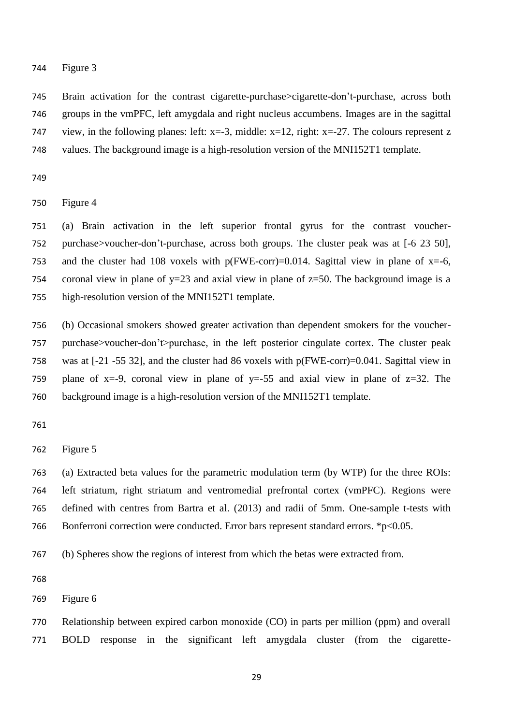#### Figure 3

 Brain activation for the contrast cigarette-purchase>cigarette-don't-purchase, across both groups in the vmPFC, left amygdala and right nucleus accumbens. Images are in the sagittal 747 view, in the following planes: left:  $x=3$ , middle:  $x=12$ , right:  $x=-27$ . The colours represent z values. The background image is a high-resolution version of the MNI152T1 template.

Figure 4

 (a) Brain activation in the left superior frontal gyrus for the contrast voucher- purchase>voucher-don't-purchase, across both groups. The cluster peak was at [-6 23 50], 753 and the cluster had 108 voxels with  $p(FWE-corr)=0.014$ . Sagittal view in plane of x=-6, 754 coronal view in plane of y=23 and axial view in plane of  $z=50$ . The background image is a high-resolution version of the MNI152T1 template.

 (b) Occasional smokers showed greater activation than dependent smokers for the voucher- purchase>voucher-don't>purchase, in the left posterior cingulate cortex. The cluster peak was at [-21 -55 32], and the cluster had 86 voxels with p(FWE-corr)=0.041. Sagittal view in 759 plane of x=-9, coronal view in plane of y=-55 and axial view in plane of  $z=32$ . The background image is a high-resolution version of the MNI152T1 template.

Figure 5

 (a) Extracted beta values for the parametric modulation term (by WTP) for the three ROIs: left striatum, right striatum and ventromedial prefrontal cortex (vmPFC). Regions were defined with centres from Bartra et al. (2013) and radii of 5mm. One-sample t-tests with 766 Bonferroni correction were conducted. Error bars represent standard errors. \*p<0.05.

(b) Spheres show the regions of interest from which the betas were extracted from.

Figure 6

 Relationship between expired carbon monoxide (CO) in parts per million (ppm) and overall BOLD response in the significant left amygdala cluster (from the cigarette-